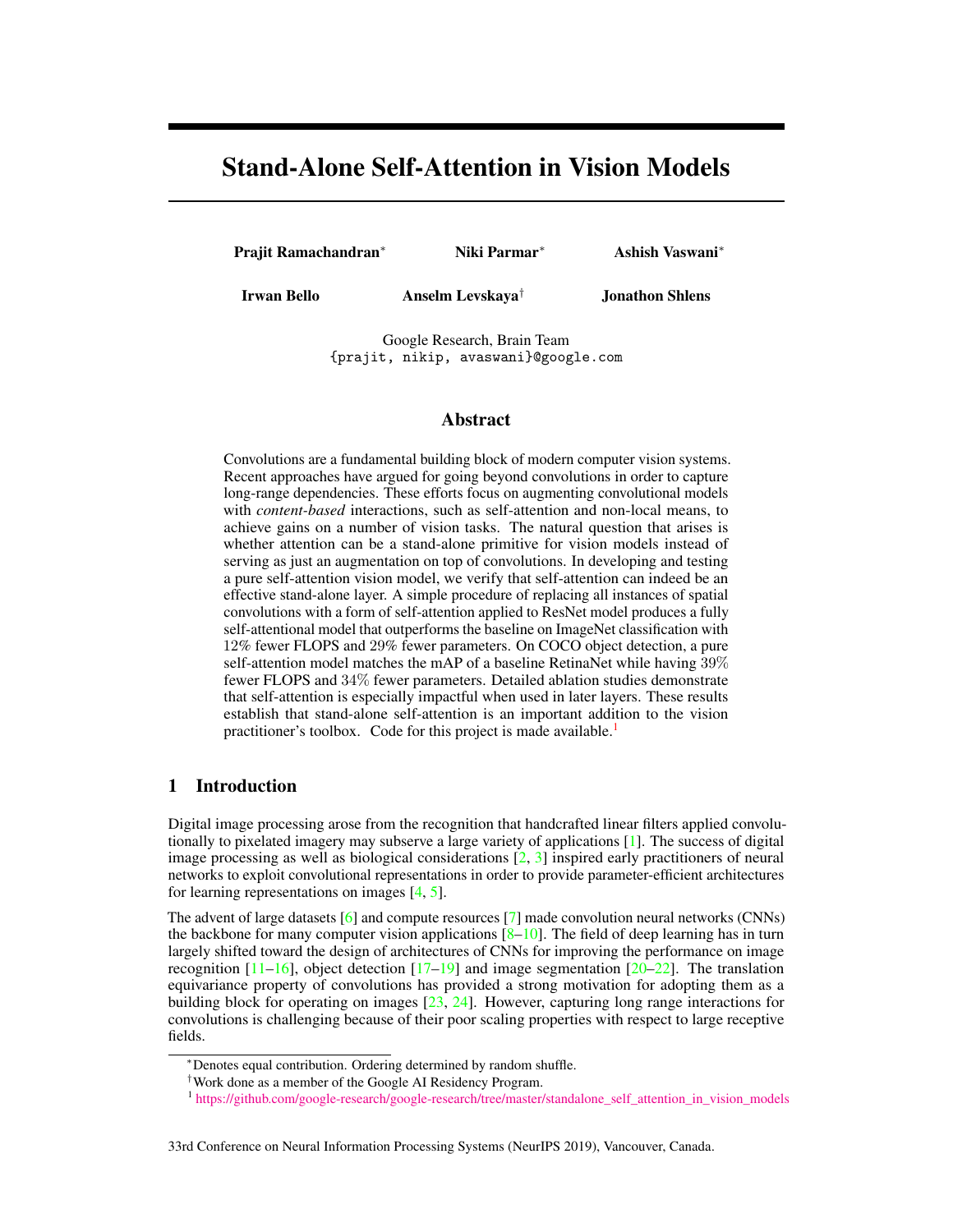# Stand-Alone Self-Attention in Vision Models

Prajit Ramachandran<sup>∗</sup> Niki Parmar<sup>∗</sup> Ashish Vaswani<sup>∗</sup>

Irwan Bello **Anselm Levskaya<sup>†</sup> Jonathon Shlens** 

Google Research, Brain Team {prajit, nikip, avaswani}@google.com

# Abstract

Convolutions are a fundamental building block of modern computer vision systems. Recent approaches have argued for going beyond convolutions in order to capture long-range dependencies. These efforts focus on augmenting convolutional models with *content-based* interactions, such as self-attention and non-local means, to achieve gains on a number of vision tasks. The natural question that arises is whether attention can be a stand-alone primitive for vision models instead of serving as just an augmentation on top of convolutions. In developing and testing a pure self-attention vision model, we verify that self-attention can indeed be an effective stand-alone layer. A simple procedure of replacing all instances of spatial convolutions with a form of self-attention applied to ResNet model produces a fully self-attentional model that outperforms the baseline on ImageNet classification with 12% fewer FLOPS and 29% fewer parameters. On COCO object detection, a pure self-attention model matches the mAP of a baseline RetinaNet while having 39% fewer FLOPS and 34% fewer parameters. Detailed ablation studies demonstrate that self-attention is especially impactful when used in later layers. These results establish that stand-alone self-attention is an important addition to the vision practitioner's toolbox. Code for this project is made available.<sup>[1](#page-0-0)</sup>

# 1 Introduction

Digital image processing arose from the recognition that handcrafted linear filters applied convolutionally to pixelated imagery may subserve a large variety of applications [\[1\]](#page-8-0). The success of digital image processing as well as biological considerations  $[2, 3]$  $[2, 3]$  inspired early practitioners of neural networks to exploit convolutional representations in order to provide parameter-efficient architectures for learning representations on images [\[4,](#page-8-3) [5\]](#page-8-4).

The advent of large datasets [\[6\]](#page-8-5) and compute resources [\[7\]](#page-8-6) made convolution neural networks (CNNs) the backbone for many computer vision applications  $[8-10]$  $[8-10]$ . The field of deep learning has in turn largely shifted toward the design of architectures of CNNs for improving the performance on image recognition  $[11-16]$  $[11-16]$ , object detection  $[17-19]$  and image segmentation  $[20-22]$  $[20-22]$ . The translation equivariance property of convolutions has provided a strong motivation for adopting them as a building block for operating on images [\[23,](#page-9-8) [24\]](#page-9-9). However, capturing long range interactions for convolutions is challenging because of their poor scaling properties with respect to large receptive fields.

#### 33rd Conference on Neural Information Processing Systems (NeurIPS 2019), Vancouver, Canada.

<sup>∗</sup>Denotes equal contribution. Ordering determined by random shuffle.

<sup>†</sup>Work done as a member of the Google AI Residency Program.

<span id="page-0-0"></span><sup>1</sup> [https://github.com/google-research/google-research/tree/master/standalone\\_self\\_attention\\_in\\_vision\\_models](https://github.com/google-research/google-research/tree/master/standalone_self_attention_in_vision_models)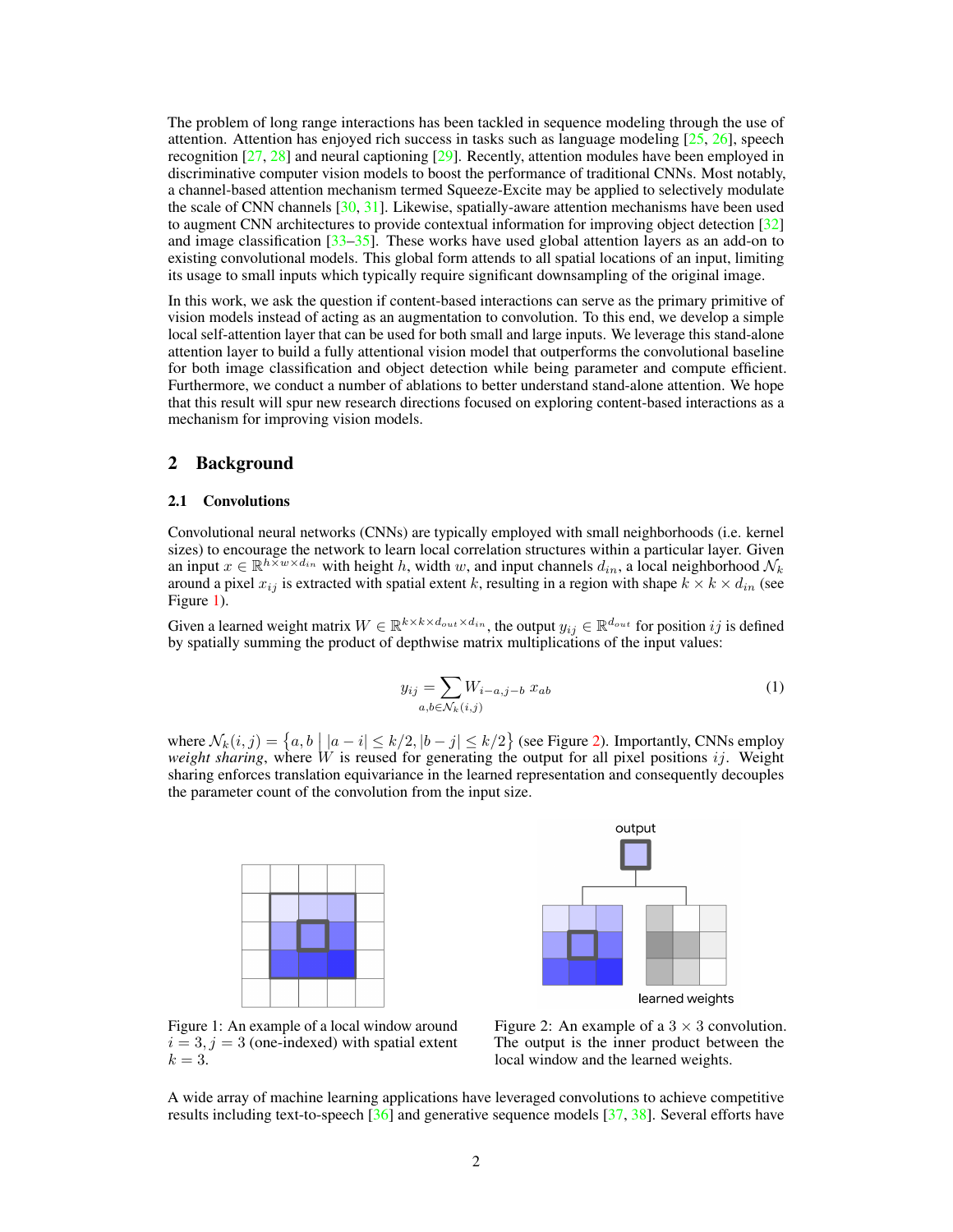The problem of long range interactions has been tackled in sequence modeling through the use of attention. Attention has enjoyed rich success in tasks such as language modeling  $[25, 26]$  $[25, 26]$  $[25, 26]$ , speech recognition [\[27,](#page-10-1) [28\]](#page-10-2) and neural captioning [\[29\]](#page-10-3). Recently, attention modules have been employed in discriminative computer vision models to boost the performance of traditional CNNs. Most notably, a channel-based attention mechanism termed Squeeze-Excite may be applied to selectively modulate the scale of CNN channels  $[30, 31]$  $[30, 31]$ . Likewise, spatially-aware attention mechanisms have been used to augment CNN architectures to provide contextual information for improving object detection [\[32\]](#page-10-6) and image classification  $\left[33-35\right]$ . These works have used global attention layers as an add-on to existing convolutional models. This global form attends to all spatial locations of an input, limiting its usage to small inputs which typically require significant downsampling of the original image.

In this work, we ask the question if content-based interactions can serve as the primary primitive of vision models instead of acting as an augmentation to convolution. To this end, we develop a simple local self-attention layer that can be used for both small and large inputs. We leverage this stand-alone attention layer to build a fully attentional vision model that outperforms the convolutional baseline for both image classification and object detection while being parameter and compute efficient. Furthermore, we conduct a number of ablations to better understand stand-alone attention. We hope that this result will spur new research directions focused on exploring content-based interactions as a mechanism for improving vision models.

## 2 Background

## 2.1 Convolutions

Convolutional neural networks (CNNs) are typically employed with small neighborhoods (i.e. kernel sizes) to encourage the network to learn local correlation structures within a particular layer. Given an input  $x \in \mathbb{R}^{h \times w \times d_{in}}$  with height h, width w, and input channels  $d_{in}$ , a local neighborhood  $\mathcal{N}_k$ around a pixel  $x_{ij}$  is extracted with spatial extent k, resulting in a region with shape  $k \times k \times d_{in}$  (see Figure [1\)](#page-1-0).

<span id="page-1-1"></span>Given a learned weight matrix  $W \in \mathbb{R}^{k \times k \times d_{out} \times d_{in}}$ , the output  $y_{ij} \in \mathbb{R}^{d_{out}}$  for position ij is defined by spatially summing the product of depthwise matrix multiplications of the input values:

$$
y_{ij} = \sum_{a,b \in \mathcal{N}_k(i,j)} W_{i-a,j-b} x_{ab} \tag{1}
$$

<span id="page-1-0"></span>where  $\mathcal{N}_k(i, j) = \{a, b \mid |a - i| \le k/2, |b - j| \le k/2\}$  (see Figure [2\)](#page-1-0). Importantly, CNNs employ *weight sharing*, where W is reused for generating the output for all pixel positions  $ij$ . Weight sharing enforces translation equivariance in the learned representation and consequently decouples the parameter count of the convolution from the input size.





Figure 1: An example of a local window around  $i = 3, j = 3$  (one-indexed) with spatial extent  $k=3$ .

Figure 2: An example of a  $3 \times 3$  convolution. The output is the inner product between the local window and the learned weights.

A wide array of machine learning applications have leveraged convolutions to achieve competitive results including text-to-speech [\[36\]](#page-10-9) and generative sequence models [\[37,](#page-10-10) [38\]](#page-10-11). Several efforts have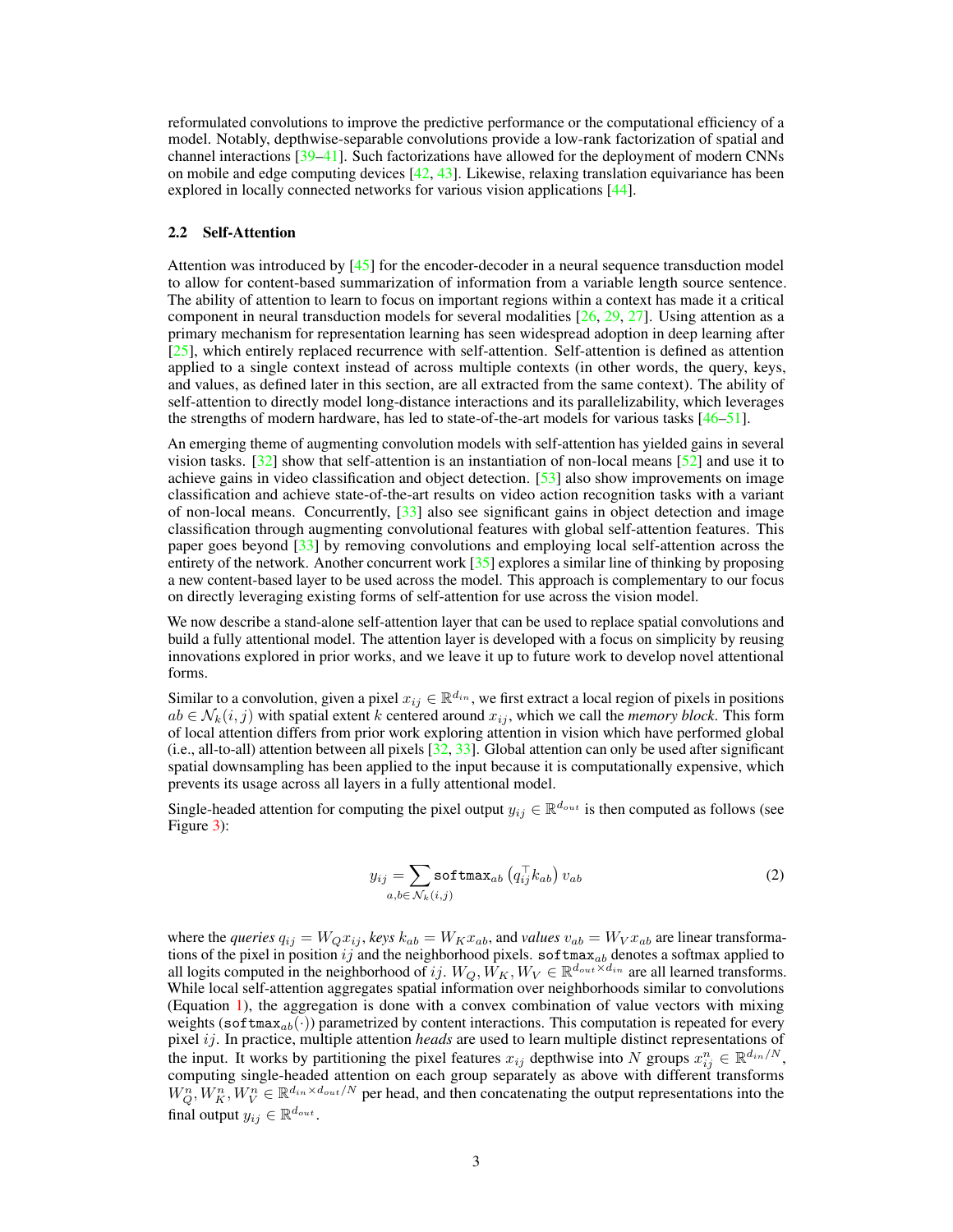reformulated convolutions to improve the predictive performance or the computational efficiency of a model. Notably, depthwise-separable convolutions provide a low-rank factorization of spatial and channel interactions [\[39–](#page-10-12)[41\]](#page-10-13). Such factorizations have allowed for the deployment of modern CNNs on mobile and edge computing devices  $[42, 43]$  $[42, 43]$ . Likewise, relaxing translation equivariance has been explored in locally connected networks for various vision applications [\[44\]](#page-11-0).

#### 2.2 Self-Attention

Attention was introduced by [\[45\]](#page-11-1) for the encoder-decoder in a neural sequence transduction model to allow for content-based summarization of information from a variable length source sentence. The ability of attention to learn to focus on important regions within a context has made it a critical component in neural transduction models for several modalities [\[26,](#page-10-0) [29,](#page-10-3) [27\]](#page-10-1). Using attention as a primary mechanism for representation learning has seen widespread adoption in deep learning after [\[25\]](#page-9-10), which entirely replaced recurrence with self-attention. Self-attention is defined as attention applied to a single context instead of across multiple contexts (in other words, the query, keys, and values, as defined later in this section, are all extracted from the same context). The ability of self-attention to directly model long-distance interactions and its parallelizability, which leverages the strengths of modern hardware, has led to state-of-the-art models for various tasks  $[46-51]$  $[46-51]$ .

An emerging theme of augmenting convolution models with self-attention has yielded gains in several vision tasks. [\[32\]](#page-10-6) show that self-attention is an instantiation of non-local means [\[52\]](#page-11-4) and use it to achieve gains in video classification and object detection. [\[53\]](#page-11-5) also show improvements on image classification and achieve state-of-the-art results on video action recognition tasks with a variant of non-local means. Concurrently,  $[33]$  also see significant gains in object detection and image classification through augmenting convolutional features with global self-attention features. This paper goes beyond [\[33\]](#page-10-7) by removing convolutions and employing local self-attention across the entirety of the network. Another concurrent work [\[35\]](#page-10-8) explores a similar line of thinking by proposing a new content-based layer to be used across the model. This approach is complementary to our focus on directly leveraging existing forms of self-attention for use across the vision model.

We now describe a stand-alone self-attention layer that can be used to replace spatial convolutions and build a fully attentional model. The attention layer is developed with a focus on simplicity by reusing innovations explored in prior works, and we leave it up to future work to develop novel attentional forms.

Similar to a convolution, given a pixel  $x_{ij} \in \mathbb{R}^{d_{in}}$ , we first extract a local region of pixels in positions  $ab \in \mathcal{N}_k(i, j)$  with spatial extent k centered around  $x_{ij}$ , which we call the *memory block*. This form of local attention differs from prior work exploring attention in vision which have performed global (i.e., all-to-all) attention between all pixels [\[32,](#page-10-6) [33\]](#page-10-7). Global attention can only be used after significant spatial downsampling has been applied to the input because it is computationally expensive, which prevents its usage across all layers in a fully attentional model.

Single-headed attention for computing the pixel output  $y_{ij} \in \mathbb{R}^{d_{out}}$  is then computed as follows (see Figure [3\)](#page-3-0):

$$
y_{ij} = \sum_{a,b \in \mathcal{N}_k(i,j)} \text{softmax}_{ab} \left( q_{ij}^\top k_{ab} \right) v_{ab} \tag{2}
$$

where the *queries*  $q_{ij} = W_Q x_{ij}$ , *keys*  $k_{ab} = W_K x_{ab}$ , and *values*  $v_{ab} = W_V x_{ab}$  are linear transformations of the pixel in position ij and the neighborhood pixels. softmax<sub>ab</sub> denotes a softmax applied to all logits computed in the neighborhood of ij.  $W_Q$ ,  $\hat{W_K}$ ,  $W_V \in \mathbb{R}^{d_{out} \times d_{in}}$  are all learned transforms. While local self-attention aggregates spatial information over neighborhoods similar to convolutions (Equation [1\)](#page-1-1), the aggregation is done with a convex combination of value vectors with mixing weights (softmax<sub>ab</sub>(·)) parametrized by content interactions. This computation is repeated for every pixel ij. In practice, multiple attention *heads* are used to learn multiple distinct representations of the input. It works by partitioning the pixel features  $x_{ij}$  depthwise into N groups  $x_{ij}^n \in \mathbb{R}^{\frac{d_{in}}{N}}$ , computing single-headed attention on each group separately as above with different transforms  $W_Q^n, W_K^n, W_V^n \in \mathbb{R}^{d_{in} \times d_{out}/N}$  per head, and then concatenating the output representations into the final output  $y_{ij} \in \mathbb{R}^{d_{out}}$ .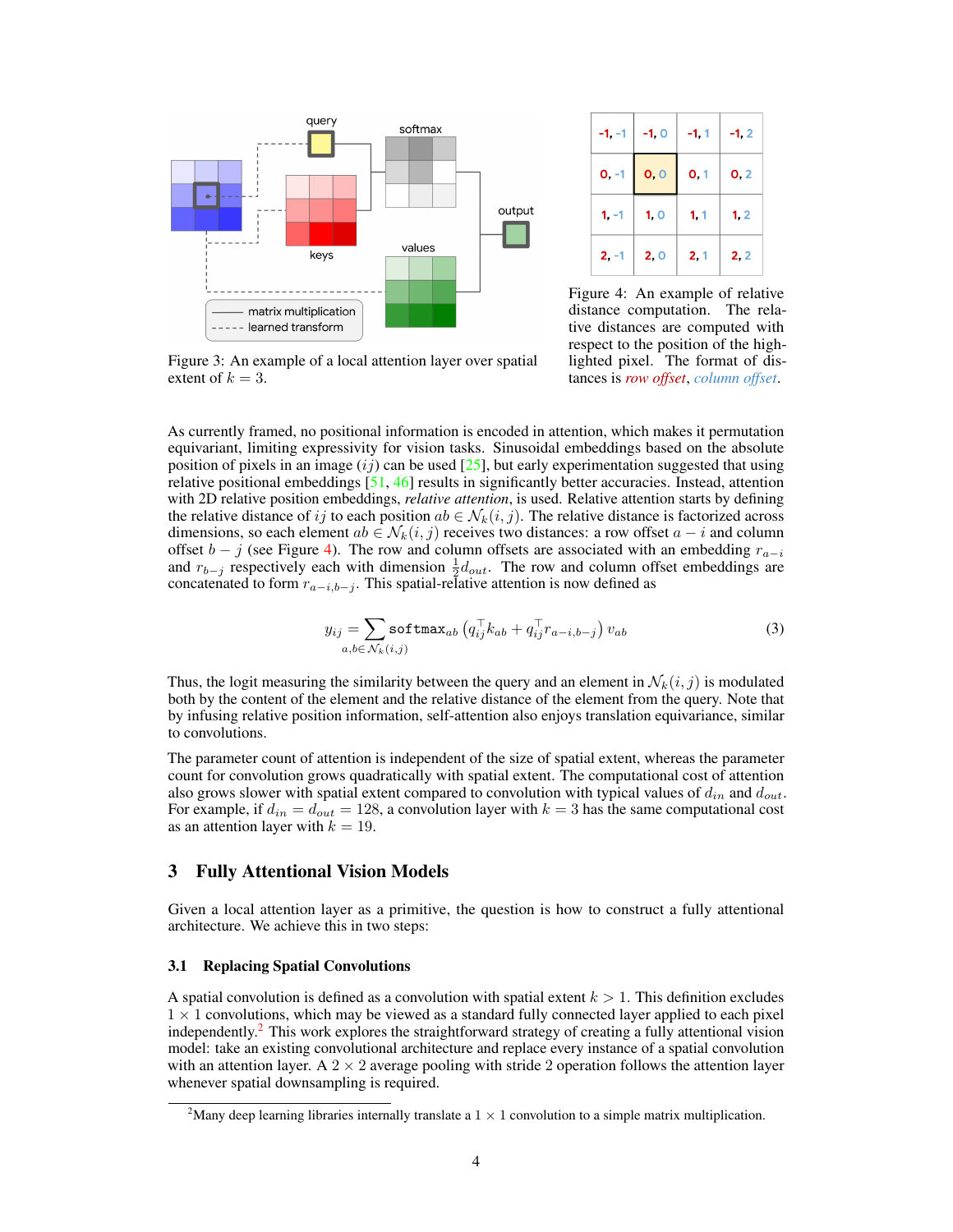<span id="page-3-0"></span>

 $-1.0$  $-1, 2$  $-1, -1$  $-1.1$  $0, 0$  $0, 1$  $0, 2$  $0, -1$  $1 - 1$  $1<sub>0</sub>$  $1, 2$  $1, 1$  $2, -1$  $2, 0$  $2, 2$  $2, 1$ 

Figure 4: An example of relative distance computation. The relative distances are computed with respect to the position of the highlighted pixel. The format of distances is *row offset*, *column offset*.

Figure 3: An example of a local attention layer over spatial extent of  $k = 3$ .

As currently framed, no positional information is encoded in attention, which makes it permutation equivariant, limiting expressivity for vision tasks. Sinusoidal embeddings based on the absolute position of pixels in an image  $(ij)$  can be used  $[25]$ , but early experimentation suggested that using relative positional embeddings [\[51,](#page-11-3) [46\]](#page-11-2) results in significantly better accuracies. Instead, attention with 2D relative position embeddings, *relative attention*, is used. Relative attention starts by defining the relative distance of ij to each position  $ab \in \mathcal{N}_k(i, j)$ . The relative distance is factorized across dimensions, so each element  $ab \in \mathcal{N}_k(i, j)$  receives two distances: a row offset  $a - i$  and column offset  $b - j$  (see Figure [4\)](#page-3-0). The row and column offsets are associated with an embedding  $r_{a-i}$ and  $r_{b-j}$  respectively each with dimension  $\frac{1}{2}d_{out}$ . The row and column offset embeddings are concatenated to form  $r_{a-i,b-j}$ . This spatial-relative attention is now defined as

$$
y_{ij} = \sum_{a,b \in \mathcal{N}_k(i,j)} \text{softmax}_{ab} \left( q_{ij}^\top k_{ab} + q_{ij}^\top r_{a-i,b-j} \right) v_{ab} \tag{3}
$$

<span id="page-3-2"></span>Thus, the logit measuring the similarity between the query and an element in  $\mathcal{N}_k(i, j)$  is modulated both by the content of the element and the relative distance of the element from the query. Note that by infusing relative position information, self-attention also enjoys translation equivariance, similar to convolutions.

The parameter count of attention is independent of the size of spatial extent, whereas the parameter count for convolution grows quadratically with spatial extent. The computational cost of attention also grows slower with spatial extent compared to convolution with typical values of  $d_{in}$  and  $d_{out}$ . For example, if  $d_{in} = d_{out} = 128$ , a convolution layer with  $k = 3$  has the same computational cost as an attention layer with  $k = 19$ .

# 3 Fully Attentional Vision Models

Given a local attention layer as a primitive, the question is how to construct a fully attentional architecture. We achieve this in two steps:

## <span id="page-3-3"></span>3.1 Replacing Spatial Convolutions

A spatial convolution is defined as a convolution with spatial extent  $k > 1$ . This definition excludes  $1 \times 1$  convolutions, which may be viewed as a standard fully connected layer applied to each pixel independently.[2](#page-3-1) This work explores the straightforward strategy of creating a fully attentional vision model: take an existing convolutional architecture and replace every instance of a spatial convolution with an attention layer. A  $2 \times 2$  average pooling with stride 2 operation follows the attention layer whenever spatial downsampling is required.

<span id="page-3-1"></span><sup>&</sup>lt;sup>2</sup>Many deep learning libraries internally translate a  $1 \times 1$  convolution to a simple matrix multiplication.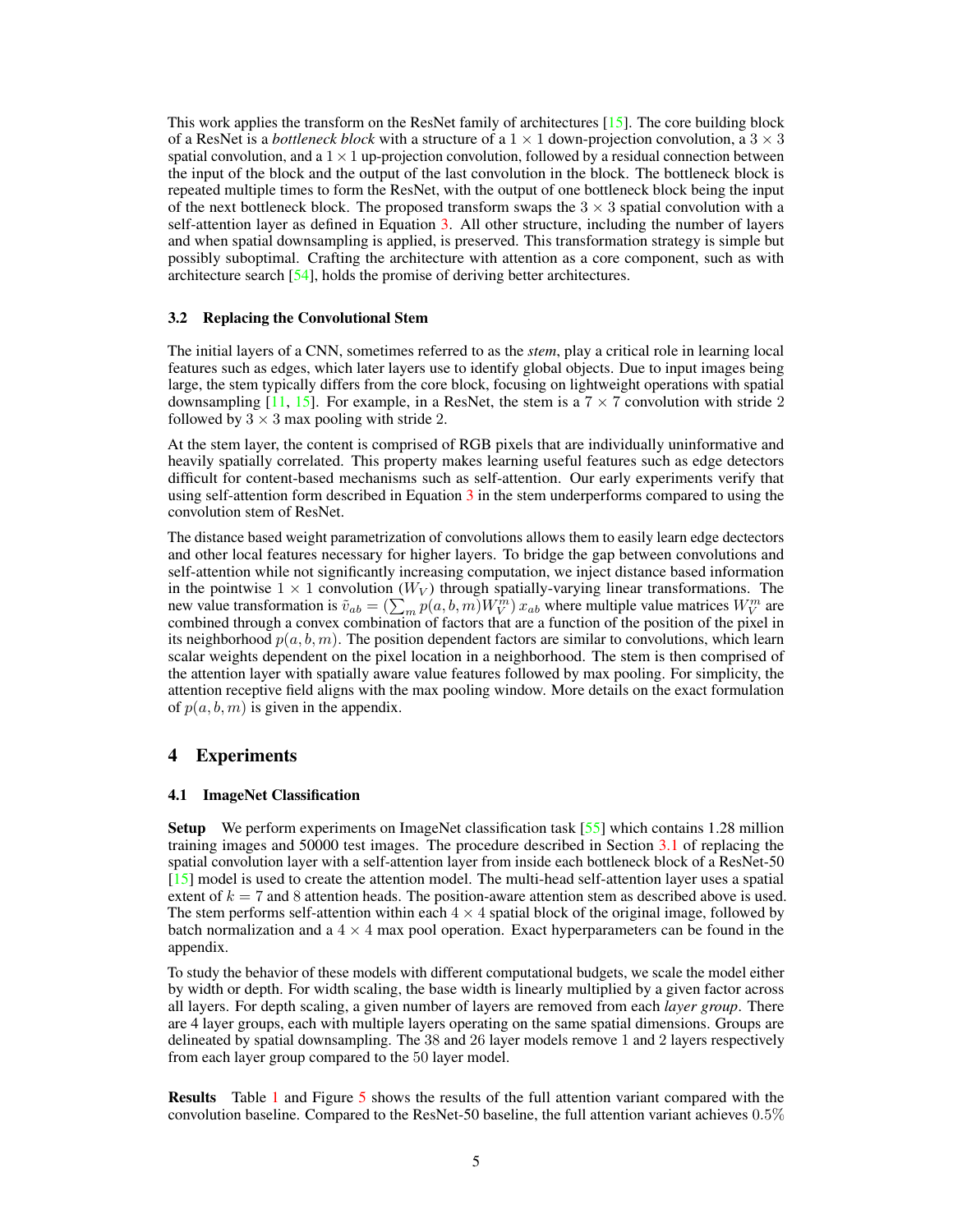This work applies the transform on the ResNet family of architectures [\[15\]](#page-9-11). The core building block of a ResNet is a *bottleneck block* with a structure of a  $1 \times 1$  down-projection convolution, a  $3 \times 3$ spatial convolution, and a  $1 \times 1$  up-projection convolution, followed by a residual connection between the input of the block and the output of the last convolution in the block. The bottleneck block is repeated multiple times to form the ResNet, with the output of one bottleneck block being the input of the next bottleneck block. The proposed transform swaps the  $3 \times 3$  spatial convolution with a self-attention layer as defined in Equation [3.](#page-3-2) All other structure, including the number of layers and when spatial downsampling is applied, is preserved. This transformation strategy is simple but possibly suboptimal. Crafting the architecture with attention as a core component, such as with architecture search [\[54\]](#page-11-6), holds the promise of deriving better architectures.

## <span id="page-4-1"></span>3.2 Replacing the Convolutional Stem

The initial layers of a CNN, sometimes referred to as the *stem*, play a critical role in learning local features such as edges, which later layers use to identify global objects. Due to input images being large, the stem typically differs from the core block, focusing on lightweight operations with spatial downsampling [\[11,](#page-9-2) [15\]](#page-9-11). For example, in a ResNet, the stem is a  $7 \times 7$  convolution with stride 2 followed by  $3 \times 3$  max pooling with stride 2.

At the stem layer, the content is comprised of RGB pixels that are individually uninformative and heavily spatially correlated. This property makes learning useful features such as edge detectors difficult for content-based mechanisms such as self-attention. Our early experiments verify that using self-attention form described in Equation [3](#page-3-2) in the stem underperforms compared to using the convolution stem of ResNet.

The distance based weight parametrization of convolutions allows them to easily learn edge dectectors and other local features necessary for higher layers. To bridge the gap between convolutions and self-attention while not significantly increasing computation, we inject distance based information in the pointwise  $1 \times 1$  convolution ( $W_V$ ) through spatially-varying linear transformations. The new value transformation is  $\tilde{v}_{ab} = (\sum_m p(a, b, m) W_V^m) x_{ab}$  where multiple value matrices  $W_V^m$  are combined through a convex combination of factors that are a function of the position of the pixel in its neighborhood  $p(a, b, m)$ . The position dependent factors are similar to convolutions, which learn scalar weights dependent on the pixel location in a neighborhood. The stem is then comprised of the attention layer with spatially aware value features followed by max pooling. For simplicity, the attention receptive field aligns with the max pooling window. More details on the exact formulation of  $p(a, b, m)$  is given in the appendix.

## 4 Experiments

## <span id="page-4-0"></span>4.1 ImageNet Classification

Setup We perform experiments on ImageNet classification task [\[55\]](#page-11-7) which contains 1.28 million training images and 50000 test images. The procedure described in Section [3.1](#page-3-3) of replacing the spatial convolution layer with a self-attention layer from inside each bottleneck block of a ResNet-50 [\[15\]](#page-9-11) model is used to create the attention model. The multi-head self-attention layer uses a spatial extent of  $k = 7$  and 8 attention heads. The position-aware attention stem as described above is used. The stem performs self-attention within each  $4 \times 4$  spatial block of the original image, followed by batch normalization and a  $4 \times 4$  max pool operation. Exact hyperparameters can be found in the appendix.

To study the behavior of these models with different computational budgets, we scale the model either by width or depth. For width scaling, the base width is linearly multiplied by a given factor across all layers. For depth scaling, a given number of layers are removed from each *layer group*. There are 4 layer groups, each with multiple layers operating on the same spatial dimensions. Groups are delineated by spatial downsampling. The 38 and 26 layer models remove 1 and 2 layers respectively from each layer group compared to the 50 layer model.

Results Table [1](#page-5-0) and Figure [5](#page-5-1) shows the results of the full attention variant compared with the convolution baseline. Compared to the ResNet-50 baseline, the full attention variant achieves 0.5%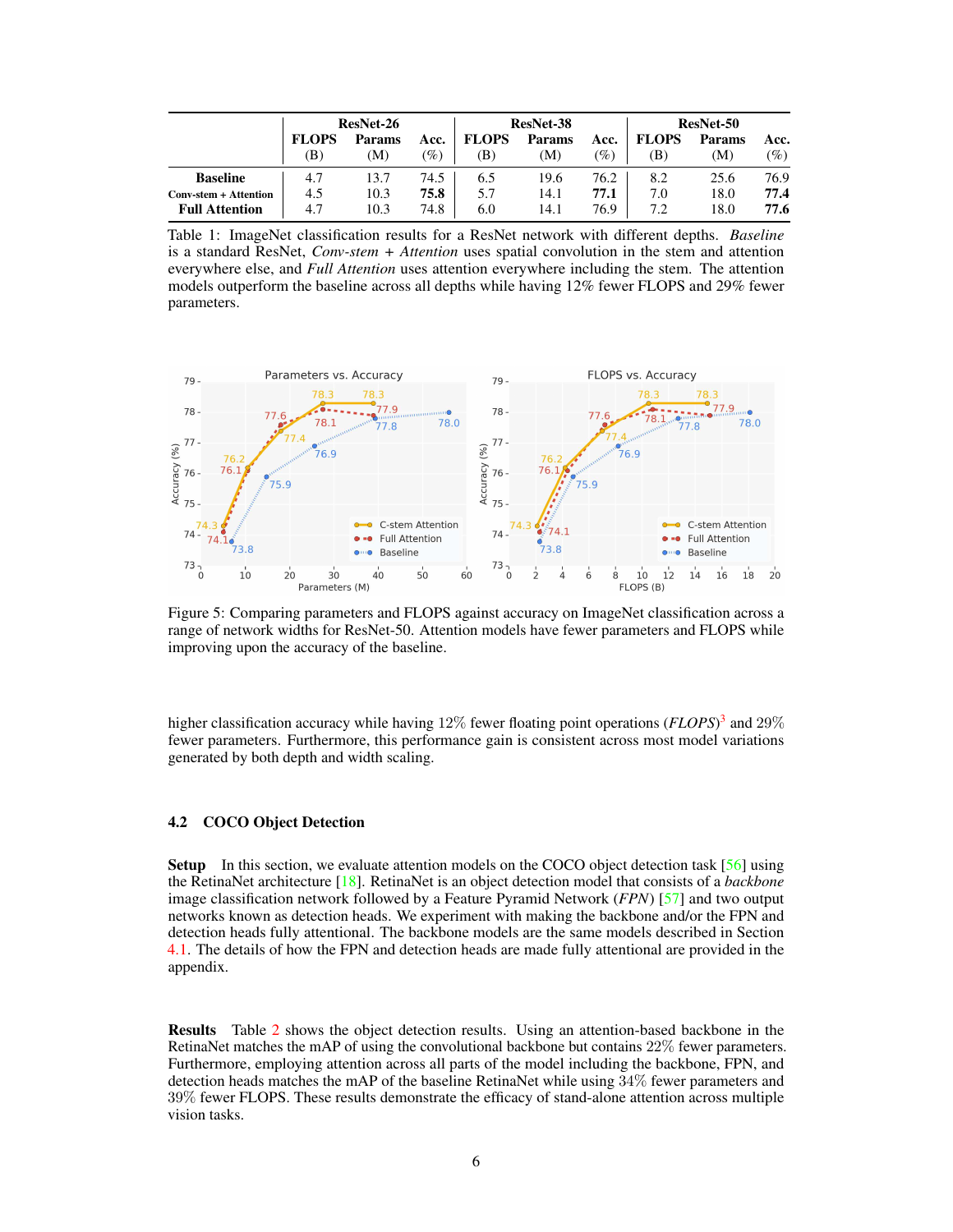<span id="page-5-0"></span>

|                       | <b>ResNet-26</b> |        | ResNet-38       |              |               | <b>ResNet-50</b> |              |               |      |
|-----------------------|------------------|--------|-----------------|--------------|---------------|------------------|--------------|---------------|------|
|                       | <b>FLOPS</b>     | Params | Acc.            | <b>FLOPS</b> | <b>Params</b> | Acc.             | <b>FLOPS</b> | <b>Params</b> | Acc. |
|                       | (B               | M)     | $\mathscr{G}_o$ | B)           | (M)           | $\mathscr{G}_o$  | (B)          | M)            | (%)  |
| <b>Baseline</b>       | 4.7              | 13.7   | 74.5            | 6.5          | 19.6          | 76.2             | 8.2          | 25.6          | 76.9 |
| Conv-stem + Attention | 4.5              | 10.3   | 75.8            | 5.7          | 14.1          | 77.1             | 7.0          | 18.0          | 77.4 |
| <b>Full Attention</b> | 4.7              | 10.3   | 74.8            | 6.0          | 14.1          | 76.9             | 7.2          | 18.0          | 77.6 |

Table 1: ImageNet classification results for a ResNet network with different depths. *Baseline* is a standard ResNet, *Conv-stem + Attention* uses spatial convolution in the stem and attention everywhere else, and *Full Attention* uses attention everywhere including the stem. The attention models outperform the baseline across all depths while having 12% fewer FLOPS and 29% fewer parameters.

<span id="page-5-1"></span>

Figure 5: Comparing parameters and FLOPS against accuracy on ImageNet classification across a range of network widths for ResNet-50. Attention models have fewer parameters and FLOPS while improving upon the accuracy of the baseline.

higher classification accuracy while having 12% fewer floating point operations (*FLOPS*) [3](#page-6-0) and 29% fewer parameters. Furthermore, this performance gain is consistent across most model variations generated by both depth and width scaling.

## 4.2 COCO Object Detection

**Setup** In this section, we evaluate attention models on the COCO object detection task [\[56\]](#page-11-8) using the RetinaNet architecture [\[18\]](#page-9-12). RetinaNet is an object detection model that consists of a *backbone* image classification network followed by a Feature Pyramid Network (*FPN*) [\[57\]](#page-11-9) and two output networks known as detection heads. We experiment with making the backbone and/or the FPN and detection heads fully attentional. The backbone models are the same models described in Section [4.1.](#page-4-0) The details of how the FPN and detection heads are made fully attentional are provided in the appendix.

Results Table [2](#page-6-1) shows the object detection results. Using an attention-based backbone in the RetinaNet matches the mAP of using the convolutional backbone but contains 22% fewer parameters. Furthermore, employing attention across all parts of the model including the backbone, FPN, and detection heads matches the mAP of the baseline RetinaNet while using 34% fewer parameters and 39% fewer FLOPS. These results demonstrate the efficacy of stand-alone attention across multiple vision tasks.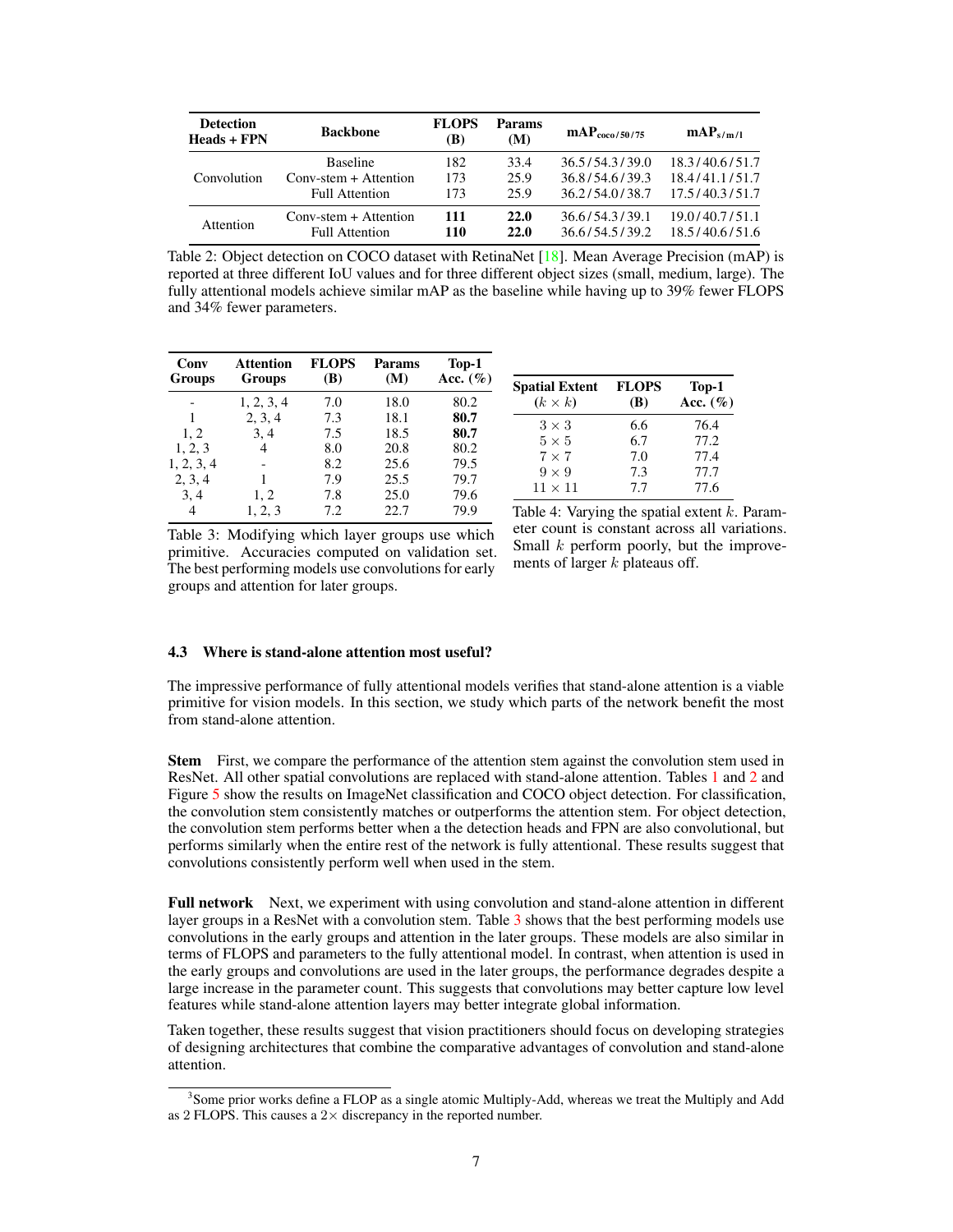<span id="page-6-1"></span>

| <b>Detection</b><br>Heads + FPN | <b>Backbone</b>                | <b>FLOPS</b><br>(B) | Params<br>(M) | $\rm{mAP}_{\rm{ceo/50/75}}$ | $\mathbf{mAP}_{s/m/l}$ |
|---------------------------------|--------------------------------|---------------------|---------------|-----------------------------|------------------------|
| Convolution                     | <b>Baseline</b>                | 182                 | 33.4          | 36.5/54.3/39.0              | 18.3/40.6/51.7         |
|                                 | $Conv\text{-}stem + Attention$ | 173                 | 25.9          | 36.8/54.6/39.3              | 18.4/41.1/51.7         |
|                                 | <b>Full Attention</b>          | 173                 | 25.9          | 36.2/54.0/38.7              | 17.5/40.3/51.7         |
| Attention                       | $Conv\text{-stem} +$ Attention | 111                 | <b>22.0</b>   | 36.6/54.3/39.1              | 19.0/40.7/51.1         |
|                                 | Full Attention                 | 110                 | 22.0          | 36.6/54.5/39.2              | 18.5/40.6/51.6         |

Table 2: Object detection on COCO dataset with RetinaNet [\[18\]](#page-9-12). Mean Average Precision (mAP) is reported at three different IoU values and for three different object sizes (small, medium, large). The fully attentional models achieve similar mAP as the baseline while having up to 39% fewer FLOPS and 34% fewer parameters.

<span id="page-6-2"></span>

| Conv<br><b>Groups</b> | <b>Attention</b><br><b>Groups</b> | <b>FLOPS</b><br>(B) | Params<br>(M) | Top-1<br>Acc. $(\% )$ |
|-----------------------|-----------------------------------|---------------------|---------------|-----------------------|
|                       | 1, 2, 3, 4                        | 7.0                 | 18.0          | 80.2                  |
|                       | 2, 3, 4                           | 7.3                 | 18.1          | 80.7                  |
| 1, 2                  | 3, 4                              | 7.5                 | 18.5          | 80.7                  |
| 1, 2, 3               | 4                                 | 8.0                 | 20.8          | 80.2                  |
| 1, 2, 3, 4            |                                   | 8.2                 | 25.6          | 79.5                  |
| 2, 3, 4               |                                   | 7.9                 | 25.5          | 79.7                  |
| 3, 4                  | 1, 2                              | 7.8                 | 25.0          | 79.6                  |
| 4                     | 1, 2, 3                           | 7.2                 | 22.7          | 79.9                  |

| <b>Spatial Extent</b><br>$(k \times k)$ | <b>FLOPS</b><br>(B) | Top-1<br>Acc. $(\% )$ |
|-----------------------------------------|---------------------|-----------------------|
| $3 \times 3$                            | 6.6                 | 76.4                  |
| $5 \times 5$                            | 6.7                 | 77.2                  |
| $7 \times 7$                            | 7.0                 | 77.4                  |
| $9 \times 9$                            | 7.3                 | 77.7                  |
| $11 \times 11$                          | 7.7                 | 77.6                  |

Table 3: Modifying which layer groups use which primitive. Accuracies computed on validation set. The best performing models use convolutions for early groups and attention for later groups.

| Table 4: Varying the spatial extent $k$ . Param- |
|--------------------------------------------------|
| eter count is constant across all variations.    |
| Small k perform poorly, but the improve-         |
| ments of larger $k$ plateaus off.                |

### 4.3 Where is stand-alone attention most useful?

The impressive performance of fully attentional models verifies that stand-alone attention is a viable primitive for vision models. In this section, we study which parts of the network benefit the most from stand-alone attention.

Stem First, we compare the performance of the attention stem against the convolution stem used in ResNet. All other spatial convolutions are replaced with stand-alone attention. Tables [1](#page-5-0) and [2](#page-6-1) and Figure [5](#page-5-1) show the results on ImageNet classification and COCO object detection. For classification, the convolution stem consistently matches or outperforms the attention stem. For object detection, the convolution stem performs better when a the detection heads and FPN are also convolutional, but performs similarly when the entire rest of the network is fully attentional. These results suggest that convolutions consistently perform well when used in the stem.

Full network Next, we experiment with using convolution and stand-alone attention in different layer groups in a ResNet with a convolution stem. Table [3](#page-6-2) shows that the best performing models use convolutions in the early groups and attention in the later groups. These models are also similar in terms of FLOPS and parameters to the fully attentional model. In contrast, when attention is used in the early groups and convolutions are used in the later groups, the performance degrades despite a large increase in the parameter count. This suggests that convolutions may better capture low level features while stand-alone attention layers may better integrate global information.

Taken together, these results suggest that vision practitioners should focus on developing strategies of designing architectures that combine the comparative advantages of convolution and stand-alone attention.

<span id="page-6-0"></span><sup>&</sup>lt;sup>3</sup> Some prior works define a FLOP as a single atomic Multiply-Add, whereas we treat the Multiply and Add as 2 FLOPS. This causes a  $2 \times$  discrepancy in the reported number.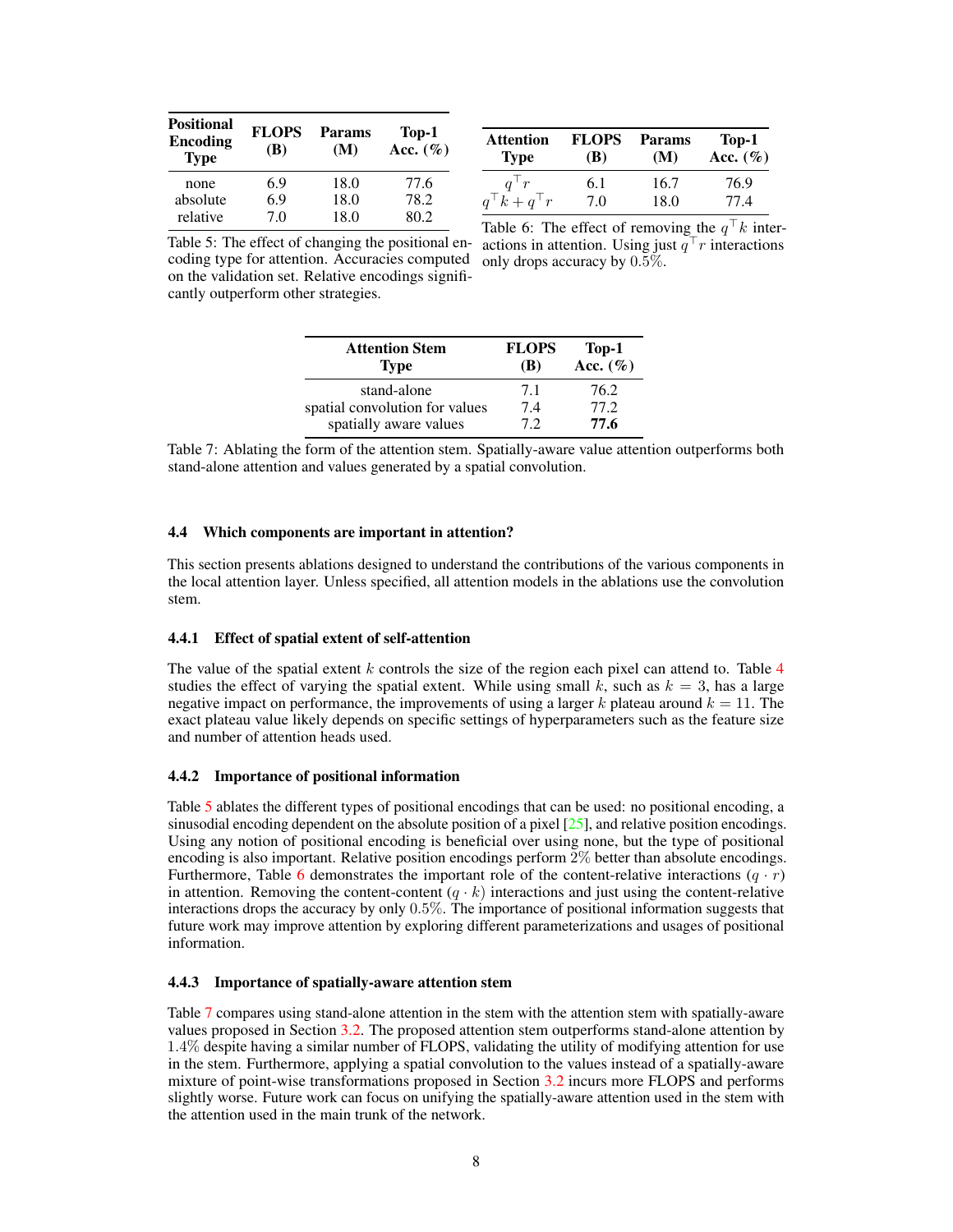<span id="page-7-0"></span>

| <b>Positional</b><br>Encoding<br><b>Type</b> | <b>FLOPS</b><br>(B) | Params<br>(M) | Top-1<br>Acc. $(\% )$ |
|----------------------------------------------|---------------------|---------------|-----------------------|
| none                                         | 6.9                 | 18.0          | 77.6                  |
| absolute                                     | 6.9                 | 18.0          | 78.2                  |
| relative                                     | 70                  | 18.0          | 80.2                  |

| <b>Attention</b><br><b>Type</b> | <b>FLOPS</b><br>(B) | <b>Params</b><br>(M) | $Top-1$<br>Acc. $(\%)$ |
|---------------------------------|---------------------|----------------------|------------------------|
| $a^+r$                          | 6.1                 | 16.7                 | 76.9                   |
| $q^{\top}k + q^{\top}r$         | 7.0                 | 18.0                 | 77.4                   |

<span id="page-7-1"></span>Table 5: The effect of changing the positional encoding type for attention. Accuracies computed on the validation set. Relative encodings significantly outperform other strategies.

Table 6: The effect of removing the  $q^{\top}k$  interactions in attention. Using just  $q^{\top}r$  interactions only drops accuracy by 0.5%.

| <b>Attention Stem</b><br><b>Type</b> | <b>FLOPS</b><br>(B) | Top-1<br>Acc. $(\% )$ |
|--------------------------------------|---------------------|-----------------------|
| stand-alone                          | 7.1                 | 76.2                  |
| spatial convolution for values       | 7.4                 | 77.2                  |
| spatially aware values               | 72                  | 77.6                  |

Table 7: Ablating the form of the attention stem. Spatially-aware value attention outperforms both stand-alone attention and values generated by a spatial convolution.

#### 4.4 Which components are important in attention?

This section presents ablations designed to understand the contributions of the various components in the local attention layer. Unless specified, all attention models in the ablations use the convolution stem.

## 4.4.1 Effect of spatial extent of self-attention

The value of the spatial extent k controls the size of the region each pixel can attend to. Table  $4$ studies the effect of varying the spatial extent. While using small k, such as  $k = 3$ , has a large negative impact on performance, the improvements of using a larger k plateau around  $k = 11$ . The exact plateau value likely depends on specific settings of hyperparameters such as the feature size and number of attention heads used.

#### 4.4.2 Importance of positional information

Table [5](#page-7-0) ablates the different types of positional encodings that can be used: no positional encoding, a sinusodial encoding dependent on the absolute position of a pixel  $[25]$ , and relative position encodings. Using any notion of positional encoding is beneficial over using none, but the type of positional encoding is also important. Relative position encodings perform 2% better than absolute encodings. Furthermore, Table [6](#page-7-0) demonstrates the important role of the content-relative interactions  $(q \cdot r)$ in attention. Removing the content-content  $(q \cdot k)$  interactions and just using the content-relative interactions drops the accuracy by only 0.5%. The importance of positional information suggests that future work may improve attention by exploring different parameterizations and usages of positional information.

## 4.4.3 Importance of spatially-aware attention stem

Table [7](#page-7-1) compares using stand-alone attention in the stem with the attention stem with spatially-aware values proposed in Section [3.2.](#page-4-1) The proposed attention stem outperforms stand-alone attention by 1.4% despite having a similar number of FLOPS, validating the utility of modifying attention for use in the stem. Furthermore, applying a spatial convolution to the values instead of a spatially-aware mixture of point-wise transformations proposed in Section [3.2](#page-4-1) incurs more FLOPS and performs slightly worse. Future work can focus on unifying the spatially-aware attention used in the stem with the attention used in the main trunk of the network.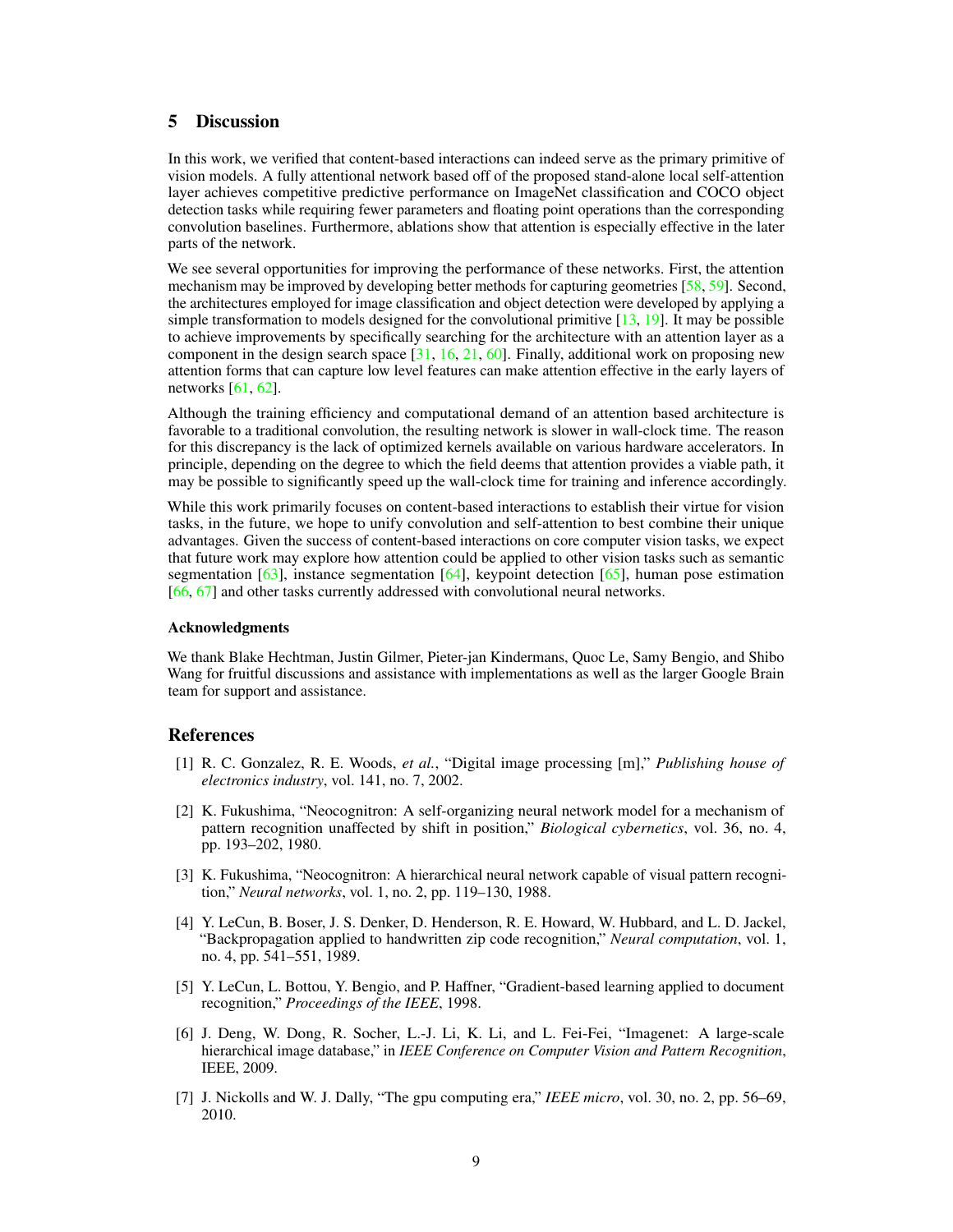# 5 Discussion

In this work, we verified that content-based interactions can indeed serve as the primary primitive of vision models. A fully attentional network based off of the proposed stand-alone local self-attention layer achieves competitive predictive performance on ImageNet classification and COCO object detection tasks while requiring fewer parameters and floating point operations than the corresponding convolution baselines. Furthermore, ablations show that attention is especially effective in the later parts of the network.

We see several opportunities for improving the performance of these networks. First, the attention mechanism may be improved by developing better methods for capturing geometries [\[58,](#page-11-10) [59\]](#page-11-11). Second, the architectures employed for image classification and object detection were developed by applying a simple transformation to models designed for the convolutional primitive  $[13, 19]$  $[13, 19]$ . It may be possible to achieve improvements by specifically searching for the architecture with an attention layer as a component in the design search space [\[31,](#page-10-5) [16,](#page-9-3) [21,](#page-9-14) [60\]](#page-11-12). Finally, additional work on proposing new attention forms that can capture low level features can make attention effective in the early layers of networks  $[61, 62]$  $[61, 62]$ .

Although the training efficiency and computational demand of an attention based architecture is favorable to a traditional convolution, the resulting network is slower in wall-clock time. The reason for this discrepancy is the lack of optimized kernels available on various hardware accelerators. In principle, depending on the degree to which the field deems that attention provides a viable path, it may be possible to significantly speed up the wall-clock time for training and inference accordingly.

While this work primarily focuses on content-based interactions to establish their virtue for vision tasks, in the future, we hope to unify convolution and self-attention to best combine their unique advantages. Given the success of content-based interactions on core computer vision tasks, we expect that future work may explore how attention could be applied to other vision tasks such as semantic segmentation  $[63]$ , instance segmentation  $[64]$ , keypoint detection  $[65]$ , human pose estimation [\[66,](#page-12-3) [67\]](#page-12-4) and other tasks currently addressed with convolutional neural networks.

#### Acknowledgments

We thank Blake Hechtman, Justin Gilmer, Pieter-jan Kindermans, Quoc Le, Samy Bengio, and Shibo Wang for fruitful discussions and assistance with implementations as well as the larger Google Brain team for support and assistance.

## References

- <span id="page-8-0"></span>[1] R. C. Gonzalez, R. E. Woods, *et al.*, "Digital image processing [m]," *Publishing house of electronics industry*, vol. 141, no. 7, 2002.
- <span id="page-8-1"></span>[2] K. Fukushima, "Neocognitron: A self-organizing neural network model for a mechanism of pattern recognition unaffected by shift in position," *Biological cybernetics*, vol. 36, no. 4, pp. 193–202, 1980.
- <span id="page-8-2"></span>[3] K. Fukushima, "Neocognitron: A hierarchical neural network capable of visual pattern recognition," *Neural networks*, vol. 1, no. 2, pp. 119–130, 1988.
- <span id="page-8-3"></span>[4] Y. LeCun, B. Boser, J. S. Denker, D. Henderson, R. E. Howard, W. Hubbard, and L. D. Jackel, "Backpropagation applied to handwritten zip code recognition," *Neural computation*, vol. 1, no. 4, pp. 541–551, 1989.
- <span id="page-8-4"></span>[5] Y. LeCun, L. Bottou, Y. Bengio, and P. Haffner, "Gradient-based learning applied to document recognition," *Proceedings of the IEEE*, 1998.
- <span id="page-8-5"></span>[6] J. Deng, W. Dong, R. Socher, L.-J. Li, K. Li, and L. Fei-Fei, "Imagenet: A large-scale hierarchical image database," in *IEEE Conference on Computer Vision and Pattern Recognition*, IEEE, 2009.
- <span id="page-8-6"></span>[7] J. Nickolls and W. J. Dally, "The gpu computing era," *IEEE micro*, vol. 30, no. 2, pp. 56–69, 2010.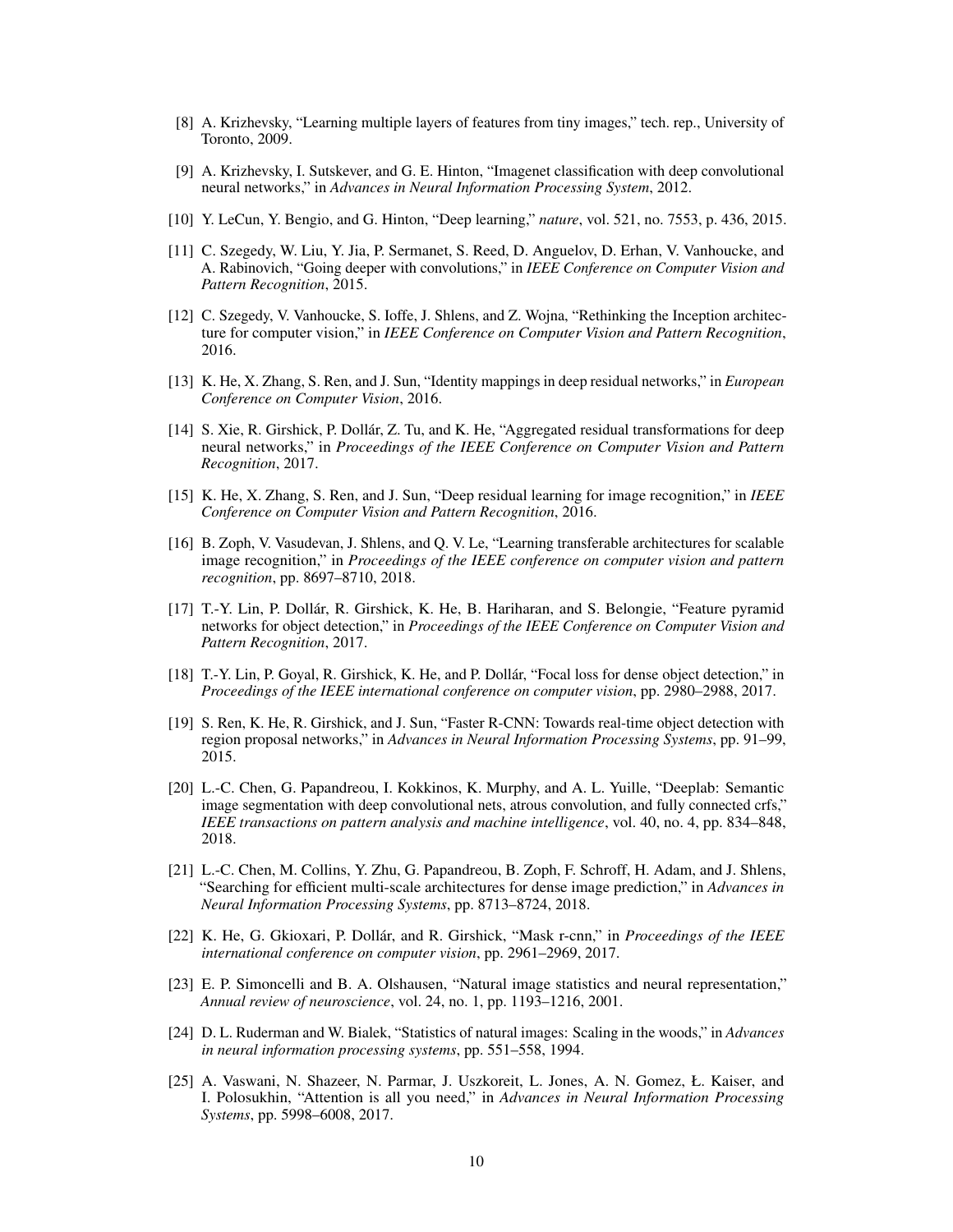- <span id="page-9-0"></span>[8] A. Krizhevsky, "Learning multiple layers of features from tiny images," tech. rep., University of Toronto, 2009.
- [9] A. Krizhevsky, I. Sutskever, and G. E. Hinton, "Imagenet classification with deep convolutional neural networks," in *Advances in Neural Information Processing System*, 2012.
- <span id="page-9-1"></span>[10] Y. LeCun, Y. Bengio, and G. Hinton, "Deep learning," *nature*, vol. 521, no. 7553, p. 436, 2015.
- <span id="page-9-2"></span>[11] C. Szegedy, W. Liu, Y. Jia, P. Sermanet, S. Reed, D. Anguelov, D. Erhan, V. Vanhoucke, and A. Rabinovich, "Going deeper with convolutions," in *IEEE Conference on Computer Vision and Pattern Recognition*, 2015.
- [12] C. Szegedy, V. Vanhoucke, S. Ioffe, J. Shlens, and Z. Wojna, "Rethinking the Inception architecture for computer vision," in *IEEE Conference on Computer Vision and Pattern Recognition*, 2016.
- <span id="page-9-13"></span>[13] K. He, X. Zhang, S. Ren, and J. Sun, "Identity mappings in deep residual networks," in *European Conference on Computer Vision*, 2016.
- [14] S. Xie, R. Girshick, P. Dollár, Z. Tu, and K. He, "Aggregated residual transformations for deep neural networks," in *Proceedings of the IEEE Conference on Computer Vision and Pattern Recognition*, 2017.
- <span id="page-9-11"></span>[15] K. He, X. Zhang, S. Ren, and J. Sun, "Deep residual learning for image recognition," in *IEEE Conference on Computer Vision and Pattern Recognition*, 2016.
- <span id="page-9-3"></span>[16] B. Zoph, V. Vasudevan, J. Shlens, and Q. V. Le, "Learning transferable architectures for scalable image recognition," in *Proceedings of the IEEE conference on computer vision and pattern recognition*, pp. 8697–8710, 2018.
- <span id="page-9-4"></span>[17] T.-Y. Lin, P. Dollár, R. Girshick, K. He, B. Hariharan, and S. Belongie, "Feature pyramid networks for object detection," in *Proceedings of the IEEE Conference on Computer Vision and Pattern Recognition*, 2017.
- <span id="page-9-12"></span>[18] T.-Y. Lin, P. Goyal, R. Girshick, K. He, and P. Dollár, "Focal loss for dense object detection," in *Proceedings of the IEEE international conference on computer vision*, pp. 2980–2988, 2017.
- <span id="page-9-5"></span>[19] S. Ren, K. He, R. Girshick, and J. Sun, "Faster R-CNN: Towards real-time object detection with region proposal networks," in *Advances in Neural Information Processing Systems*, pp. 91–99, 2015.
- <span id="page-9-6"></span>[20] L.-C. Chen, G. Papandreou, I. Kokkinos, K. Murphy, and A. L. Yuille, "Deeplab: Semantic image segmentation with deep convolutional nets, atrous convolution, and fully connected crfs," *IEEE transactions on pattern analysis and machine intelligence*, vol. 40, no. 4, pp. 834–848, 2018.
- <span id="page-9-14"></span>[21] L.-C. Chen, M. Collins, Y. Zhu, G. Papandreou, B. Zoph, F. Schroff, H. Adam, and J. Shlens, "Searching for efficient multi-scale architectures for dense image prediction," in *Advances in Neural Information Processing Systems*, pp. 8713–8724, 2018.
- <span id="page-9-7"></span>[22] K. He, G. Gkioxari, P. Dollár, and R. Girshick, "Mask r-cnn," in *Proceedings of the IEEE international conference on computer vision*, pp. 2961–2969, 2017.
- <span id="page-9-8"></span>[23] E. P. Simoncelli and B. A. Olshausen, "Natural image statistics and neural representation," *Annual review of neuroscience*, vol. 24, no. 1, pp. 1193–1216, 2001.
- <span id="page-9-9"></span>[24] D. L. Ruderman and W. Bialek, "Statistics of natural images: Scaling in the woods," in *Advances in neural information processing systems*, pp. 551–558, 1994.
- <span id="page-9-10"></span>[25] A. Vaswani, N. Shazeer, N. Parmar, J. Uszkoreit, L. Jones, A. N. Gomez, Ł. Kaiser, and I. Polosukhin, "Attention is all you need," in *Advances in Neural Information Processing Systems*, pp. 5998–6008, 2017.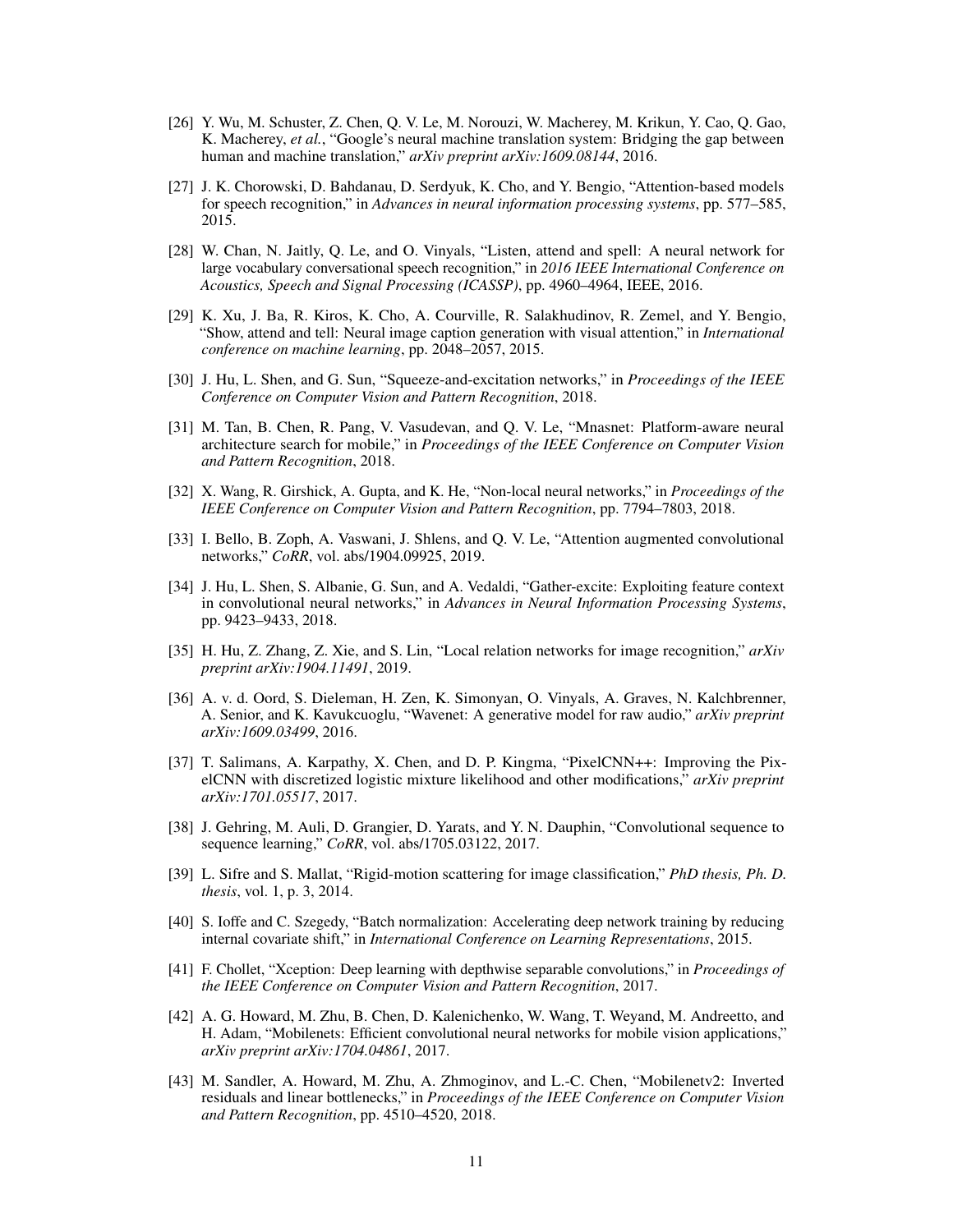- <span id="page-10-0"></span>[26] Y. Wu, M. Schuster, Z. Chen, Q. V. Le, M. Norouzi, W. Macherey, M. Krikun, Y. Cao, Q. Gao, K. Macherey, *et al.*, "Google's neural machine translation system: Bridging the gap between human and machine translation," *arXiv preprint arXiv:1609.08144*, 2016.
- <span id="page-10-1"></span>[27] J. K. Chorowski, D. Bahdanau, D. Serdyuk, K. Cho, and Y. Bengio, "Attention-based models for speech recognition," in *Advances in neural information processing systems*, pp. 577–585, 2015.
- <span id="page-10-2"></span>[28] W. Chan, N. Jaitly, Q. Le, and O. Vinyals, "Listen, attend and spell: A neural network for large vocabulary conversational speech recognition," in *2016 IEEE International Conference on Acoustics, Speech and Signal Processing (ICASSP)*, pp. 4960–4964, IEEE, 2016.
- <span id="page-10-3"></span>[29] K. Xu, J. Ba, R. Kiros, K. Cho, A. Courville, R. Salakhudinov, R. Zemel, and Y. Bengio, "Show, attend and tell: Neural image caption generation with visual attention," in *International conference on machine learning*, pp. 2048–2057, 2015.
- <span id="page-10-4"></span>[30] J. Hu, L. Shen, and G. Sun, "Squeeze-and-excitation networks," in *Proceedings of the IEEE Conference on Computer Vision and Pattern Recognition*, 2018.
- <span id="page-10-5"></span>[31] M. Tan, B. Chen, R. Pang, V. Vasudevan, and Q. V. Le, "Mnasnet: Platform-aware neural architecture search for mobile," in *Proceedings of the IEEE Conference on Computer Vision and Pattern Recognition*, 2018.
- <span id="page-10-6"></span>[32] X. Wang, R. Girshick, A. Gupta, and K. He, "Non-local neural networks," in *Proceedings of the IEEE Conference on Computer Vision and Pattern Recognition*, pp. 7794–7803, 2018.
- <span id="page-10-7"></span>[33] I. Bello, B. Zoph, A. Vaswani, J. Shlens, and Q. V. Le, "Attention augmented convolutional networks," *CoRR*, vol. abs/1904.09925, 2019.
- [34] J. Hu, L. Shen, S. Albanie, G. Sun, and A. Vedaldi, "Gather-excite: Exploiting feature context in convolutional neural networks," in *Advances in Neural Information Processing Systems*, pp. 9423–9433, 2018.
- <span id="page-10-8"></span>[35] H. Hu, Z. Zhang, Z. Xie, and S. Lin, "Local relation networks for image recognition," *arXiv preprint arXiv:1904.11491*, 2019.
- <span id="page-10-9"></span>[36] A. v. d. Oord, S. Dieleman, H. Zen, K. Simonyan, O. Vinyals, A. Graves, N. Kalchbrenner, A. Senior, and K. Kavukcuoglu, "Wavenet: A generative model for raw audio," *arXiv preprint arXiv:1609.03499*, 2016.
- <span id="page-10-10"></span>[37] T. Salimans, A. Karpathy, X. Chen, and D. P. Kingma, "PixelCNN++: Improving the PixelCNN with discretized logistic mixture likelihood and other modifications," *arXiv preprint arXiv:1701.05517*, 2017.
- <span id="page-10-11"></span>[38] J. Gehring, M. Auli, D. Grangier, D. Yarats, and Y. N. Dauphin, "Convolutional sequence to sequence learning," *CoRR*, vol. abs/1705.03122, 2017.
- <span id="page-10-12"></span>[39] L. Sifre and S. Mallat, "Rigid-motion scattering for image classification," *PhD thesis, Ph. D. thesis*, vol. 1, p. 3, 2014.
- [40] S. Ioffe and C. Szegedy, "Batch normalization: Accelerating deep network training by reducing internal covariate shift," in *International Conference on Learning Representations*, 2015.
- <span id="page-10-13"></span>[41] F. Chollet, "Xception: Deep learning with depthwise separable convolutions," in *Proceedings of the IEEE Conference on Computer Vision and Pattern Recognition*, 2017.
- <span id="page-10-14"></span>[42] A. G. Howard, M. Zhu, B. Chen, D. Kalenichenko, W. Wang, T. Weyand, M. Andreetto, and H. Adam, "Mobilenets: Efficient convolutional neural networks for mobile vision applications," *arXiv preprint arXiv:1704.04861*, 2017.
- <span id="page-10-15"></span>[43] M. Sandler, A. Howard, M. Zhu, A. Zhmoginov, and L.-C. Chen, "Mobilenetv2: Inverted residuals and linear bottlenecks," in *Proceedings of the IEEE Conference on Computer Vision and Pattern Recognition*, pp. 4510–4520, 2018.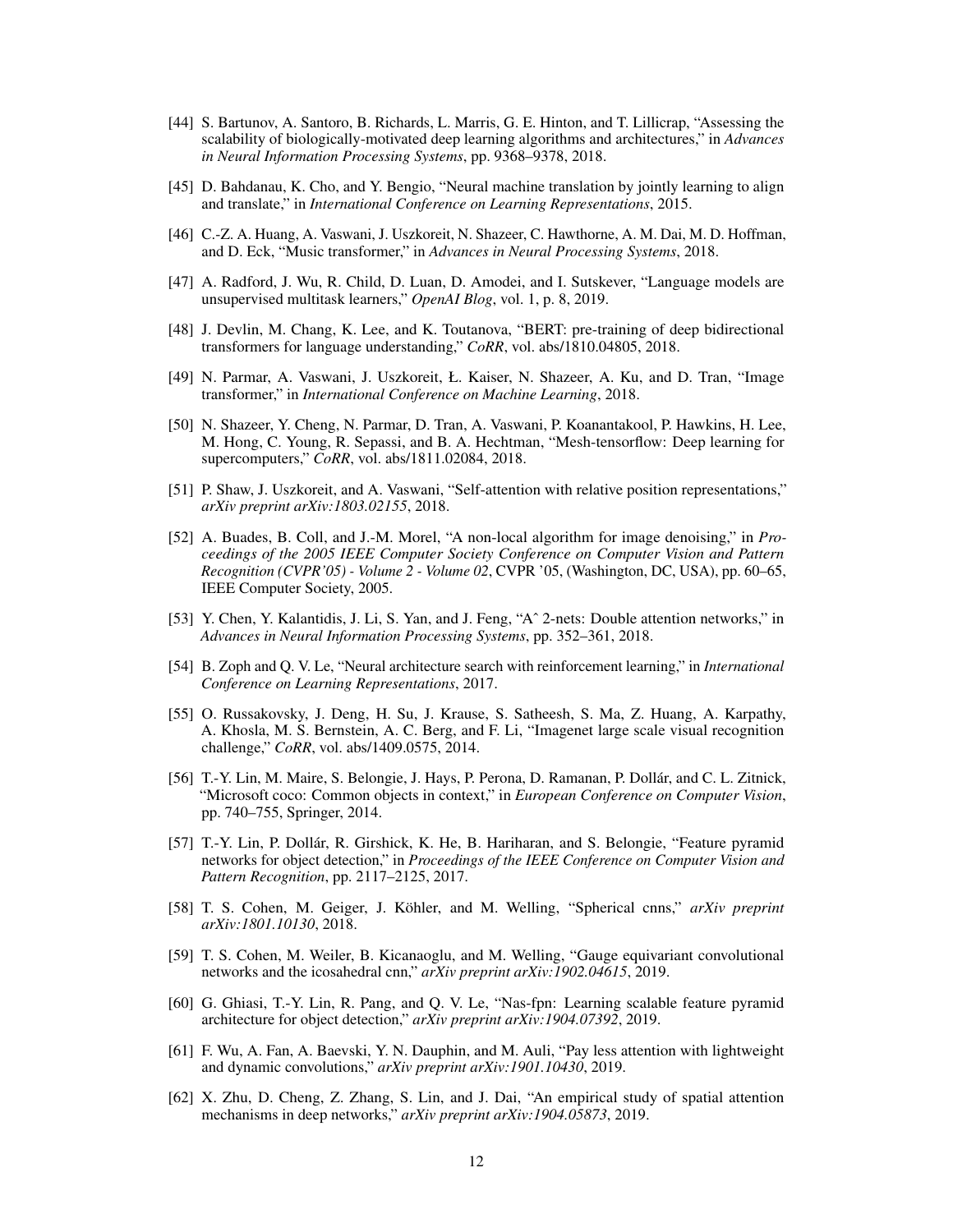- <span id="page-11-0"></span>[44] S. Bartunov, A. Santoro, B. Richards, L. Marris, G. E. Hinton, and T. Lillicrap, "Assessing the scalability of biologically-motivated deep learning algorithms and architectures," in *Advances in Neural Information Processing Systems*, pp. 9368–9378, 2018.
- <span id="page-11-1"></span>[45] D. Bahdanau, K. Cho, and Y. Bengio, "Neural machine translation by jointly learning to align and translate," in *International Conference on Learning Representations*, 2015.
- <span id="page-11-2"></span>[46] C.-Z. A. Huang, A. Vaswani, J. Uszkoreit, N. Shazeer, C. Hawthorne, A. M. Dai, M. D. Hoffman, and D. Eck, "Music transformer," in *Advances in Neural Processing Systems*, 2018.
- [47] A. Radford, J. Wu, R. Child, D. Luan, D. Amodei, and I. Sutskever, "Language models are unsupervised multitask learners," *OpenAI Blog*, vol. 1, p. 8, 2019.
- [48] J. Devlin, M. Chang, K. Lee, and K. Toutanova, "BERT: pre-training of deep bidirectional transformers for language understanding," *CoRR*, vol. abs/1810.04805, 2018.
- [49] N. Parmar, A. Vaswani, J. Uszkoreit, Ł. Kaiser, N. Shazeer, A. Ku, and D. Tran, "Image transformer," in *International Conference on Machine Learning*, 2018.
- [50] N. Shazeer, Y. Cheng, N. Parmar, D. Tran, A. Vaswani, P. Koanantakool, P. Hawkins, H. Lee, M. Hong, C. Young, R. Sepassi, and B. A. Hechtman, "Mesh-tensorflow: Deep learning for supercomputers," *CoRR*, vol. abs/1811.02084, 2018.
- <span id="page-11-3"></span>[51] P. Shaw, J. Uszkoreit, and A. Vaswani, "Self-attention with relative position representations," *arXiv preprint arXiv:1803.02155*, 2018.
- <span id="page-11-4"></span>[52] A. Buades, B. Coll, and J.-M. Morel, "A non-local algorithm for image denoising," in *Proceedings of the 2005 IEEE Computer Society Conference on Computer Vision and Pattern Recognition (CVPR'05) - Volume 2 - Volume 02*, CVPR '05, (Washington, DC, USA), pp. 60–65, IEEE Computer Society, 2005.
- <span id="page-11-5"></span>[53] Y. Chen, Y. Kalantidis, J. Li, S. Yan, and J. Feng, "Aˆ 2-nets: Double attention networks," in *Advances in Neural Information Processing Systems*, pp. 352–361, 2018.
- <span id="page-11-6"></span>[54] B. Zoph and Q. V. Le, "Neural architecture search with reinforcement learning," in *International Conference on Learning Representations*, 2017.
- <span id="page-11-7"></span>[55] O. Russakovsky, J. Deng, H. Su, J. Krause, S. Satheesh, S. Ma, Z. Huang, A. Karpathy, A. Khosla, M. S. Bernstein, A. C. Berg, and F. Li, "Imagenet large scale visual recognition challenge," *CoRR*, vol. abs/1409.0575, 2014.
- <span id="page-11-8"></span>[56] T.-Y. Lin, M. Maire, S. Belongie, J. Hays, P. Perona, D. Ramanan, P. Dollár, and C. L. Zitnick, "Microsoft coco: Common objects in context," in *European Conference on Computer Vision*, pp. 740–755, Springer, 2014.
- <span id="page-11-9"></span>[57] T.-Y. Lin, P. Dollár, R. Girshick, K. He, B. Hariharan, and S. Belongie, "Feature pyramid networks for object detection," in *Proceedings of the IEEE Conference on Computer Vision and Pattern Recognition*, pp. 2117–2125, 2017.
- <span id="page-11-10"></span>[58] T. S. Cohen, M. Geiger, J. Köhler, and M. Welling, "Spherical cnns," *arXiv preprint arXiv:1801.10130*, 2018.
- <span id="page-11-11"></span>[59] T. S. Cohen, M. Weiler, B. Kicanaoglu, and M. Welling, "Gauge equivariant convolutional networks and the icosahedral cnn," *arXiv preprint arXiv:1902.04615*, 2019.
- <span id="page-11-12"></span>[60] G. Ghiasi, T.-Y. Lin, R. Pang, and Q. V. Le, "Nas-fpn: Learning scalable feature pyramid architecture for object detection," *arXiv preprint arXiv:1904.07392*, 2019.
- <span id="page-11-13"></span>[61] F. Wu, A. Fan, A. Baevski, Y. N. Dauphin, and M. Auli, "Pay less attention with lightweight and dynamic convolutions," *arXiv preprint arXiv:1901.10430*, 2019.
- <span id="page-11-14"></span>[62] X. Zhu, D. Cheng, Z. Zhang, S. Lin, and J. Dai, "An empirical study of spatial attention mechanisms in deep networks," *arXiv preprint arXiv:1904.05873*, 2019.